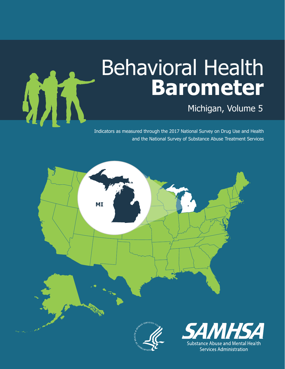# Behavioral Health **Barometer**

Michigan, Volume 5

Indicators as measured through the 2017 National Survey on Drug Use and Health and the National Survey of Substance Abuse Treatment Services



**AZE**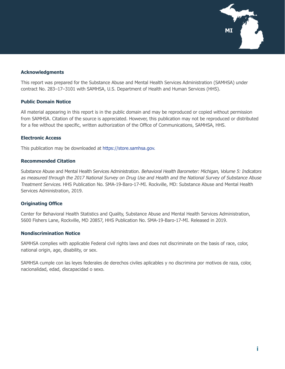

#### **Acknowledgments**

This report was prepared for the Substance Abuse and Mental Health Services Administration (SAMHSA) under contract No. 283–17–3101 with SAMHSA, U.S. Department of Health and Human Services (HHS).

#### **Public Domain Notice**

All material appearing in this report is in the public domain and may be reproduced or copied without permission from SAMHSA. Citation of the source is appreciated. However, this publication may not be reproduced or distributed for a fee without the specific, written authorization of the Office of Communications, SAMHSA, HHS.

#### **Electronic Access**

This publication may be downloaded at [https://store.samhsa.gov.](https://store.samhsa.gov)

#### **Recommended Citation**

Substance Abuse and Mental Health Services Administration. Behavioral Health Barometer: Michigan, Volume 5: Indicators as measured through the 2017 National Survey on Drug Use and Health and the National Survey of Substance Abuse Treatment Services. HHS Publication No. SMA-19-Baro-17-MI. Rockville, MD: Substance Abuse and Mental Health Services Administration, 2019.

#### **Originating Office**

Center for Behavioral Health Statistics and Quality, Substance Abuse and Mental Health Services Administration, 5600 Fishers Lane, Rockville, MD 20857, HHS Publication No. SMA-19-Baro-17-MI. Released in 2019.

#### **Nondiscrimination Notice**

SAMHSA complies with applicable Federal civil rights laws and does not discriminate on the basis of race, color, national origin, age, disability, or sex.

SAMHSA cumple con las leyes federales de derechos civiles aplicables y no discrimina por motivos de raza, color, nacionalidad, edad, discapacidad o sexo.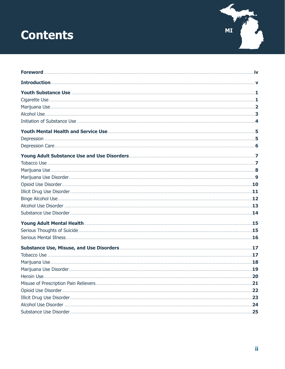# **Contents**

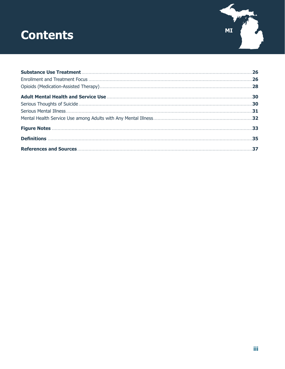# **Contents**



| .26 |
|-----|
|     |
|     |
|     |
|     |
|     |
|     |
|     |
|     |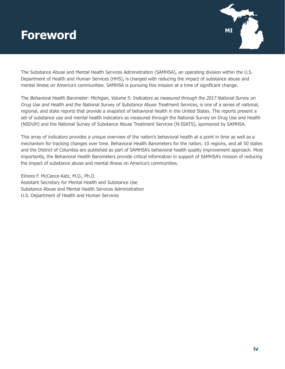### <span id="page-4-0"></span>**MI Foreword**



The Substance Abuse and Mental Health Services Administration (SAMHSA), an operating division within the U.S. Department of Health and Human Services (HHS), is charged with reducing the impact of substance abuse and mental illness on America's communities. SAMHSA is pursuing this mission at a time of significant change.

The Behavioral Health Barometer: Michigan, Volume 5: Indicators as measured through the 2017 National Survey on Drug Use and Health and the National Survey of Substance Abuse Treatment Services, is one of a series of national, regional, and state reports that provide a snapshot of behavioral health in the United States. The reports present a set of substance use and mental health indicators as measured through the National Survey on Drug Use and Health (NSDUH) and the National Survey of Substance Abuse Treatment Services (N-SSATS), sponsored by SAMHSA.

This array of indicators provides a unique overview of the nation's behavioral health at a point in time as well as a mechanism for tracking changes over time. Behavioral Health Barometers for the nation, 10 regions, and all 50 states and the District of Columbia are published as part of SAMHSA's behavioral health quality improvement approach. Most importantly, the Behavioral Health Barometers provide critical information in support of SAMHSA's mission of reducing the impact of substance abuse and mental illness on America's communities.

Elinore F. McCance-Katz, M.D., Ph.D. Assistant Secretary for Mental Health and Substance Use Substance Abuse and Mental Health Services Administration U.S. Department of Health and Human Services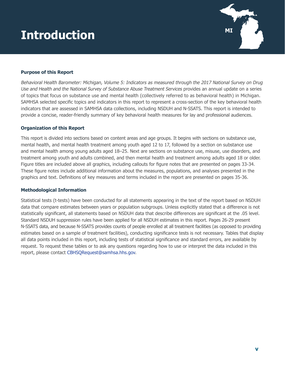# <span id="page-5-0"></span>**MI Introduction**



#### **Purpose of this Report**

Behavioral Health Barometer: Michigan, Volume 5: Indicators as measured through the 2017 National Survey on Drug Use and Health and the National Survey of Substance Abuse Treatment Services provides an annual update on a series of topics that focus on substance use and mental health (collectively referred to as behavioral health) in Michigan. SAMHSA selected specific topics and indicators in this report to represent a cross-section of the key behavioral health indicators that are assessed in SAMHSA data collections, including NSDUH and N-SSATS. This report is intended to provide a concise, reader-friendly summary of key behavioral health measures for lay and professional audiences.

#### **Organization of this Report**

This report is divided into sections based on content areas and age groups. It begins with sections on substance use, mental health, and mental health treatment among youth aged 12 to 17, followed by a section on substance use and mental health among young adults aged 18–25. Next are sections on substance use, misuse, use disorders, and treatment among youth and adults combined, and then mental health and treatment among adults aged 18 or older. Figure titles are included above all graphics, including callouts for figure notes that are presented on pages 33-34. These figure notes include additional information about the measures, populations, and analyses presented in the graphics and text. Definitions of key measures and terms included in the report are presented on pages 35-36.

#### **Methodological Information**

Statistical tests (t-tests) have been conducted for all statements appearing in the text of the report based on NSDUH data that compare estimates between years or population subgroups. Unless explicitly stated that a difference is not statistically significant, all statements based on NSDUH data that describe differences are significant at the .05 level. Standard NSDUH suppression rules have been applied for all NSDUH estimates in this report. Pages 26-29 present N-SSATS data, and because N-SSATS provides counts of people enrolled at all treatment facilities (as opposed to providing estimates based on a sample of treatment facilities), conducting significance tests is not necessary. Tables that display all data points included in this report, including tests of statistical significance and standard errors, are available by request. To request these tables or to ask any questions regarding how to use or interpret the data included in this report, please contact [CBHSQRequest@samhsa.hhs.gov](mailto:CBHSQRequest@samhsa.hhs.gov).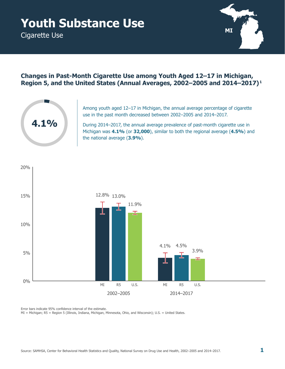# <span id="page-6-0"></span>**Youth Substance Use**

Cigarette Use



### **Changes in Past-Month Cigarette Use among Youth Aged 12–17 in Michigan, Region 5, and the United States (Annual Averages, 2002–2005 and 2014–2017) 1**



Among youth aged 12–17 in Michigan, the annual average percentage of cigarette use in the past month decreased between 2002–2005 and 2014–2017.

During 2014–2017, the annual average prevalence of past-month cigarette use in Michigan was **4.1%** (or **32,000**), similar to both the regional average (**4.5%**) and the national average (**3.9%**).



Error bars indicate 95% confidence interval of the estimate.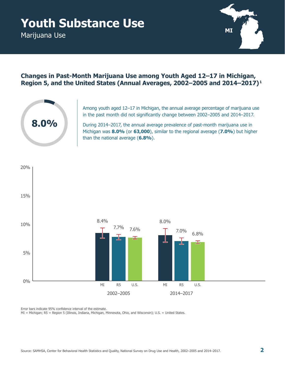# <span id="page-7-0"></span>**Youth Substance Use**

Marijuana Use



### **Changes in Past-Month Marijuana Use among Youth Aged 12–17 in Michigan, Region 5, and the United States (Annual Averages, 2002–2005 and 2014–2017) 1**



Among youth aged 12–17 in Michigan, the annual average percentage of marijuana use in the past month did not significantly change between 2002–2005 and 2014–2017.

During 2014–2017, the annual average prevalence of past-month marijuana use in Michigan was **8.0%** (or **63,000**), similar to the regional average (**7.0%**) but higher than the national average (**6.8%**).



Error bars indicate 95% confidence interval of the estimate.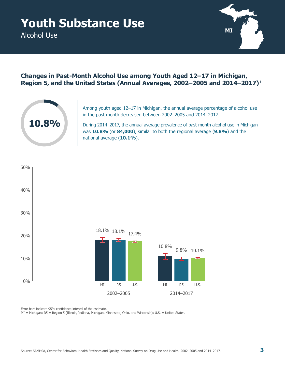<span id="page-8-0"></span>Alcohol Use



### **Changes in Past-Month Alcohol Use among Youth Aged 12–17 in Michigan, Region 5, and the United States (Annual Averages, 2002–2005 and 2014–2017) 1**



Among youth aged 12–17 in Michigan, the annual average percentage of alcohol use in the past month decreased between 2002–2005 and 2014–2017.

During 2014–2017, the annual average prevalence of past-month alcohol use in Michigan was **10.8%** (or **84,000**), similar to both the regional average (**9.8%**) and the national average (**10.1%**).



Error bars indicate 95% confidence interval of the estimate.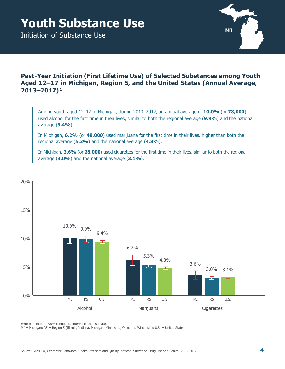# <span id="page-9-0"></span>**Youth Substance Use**

Initiation of Substance Use



### **Past-Year Initiation (First Lifetime Use) of Selected Substances among Youth Aged 12–17 in Michigan, Region 5, and the United States (Annual Average, 2013–2017) 1**

Among youth aged 12–17 in Michigan, during 2013–2017, an annual average of **10.0%** (or **78,000**) used alcohol for the first time in their lives, similar to both the regional average (**9.9%**) and the national average (**9.4%**).

In Michigan, **6.2%** (or **49,000**) used marijuana for the first time in their lives, higher than both the regional average (**5.3%**) and the national average (**4.8%**).

In Michigan, **3.6%** (or **28,000**) used cigarettes for the first time in their lives, similar to both the regional average (**3.0%**) and the national average (**3.1%**).



Error bars indicate 95% confidence interval of the estimate.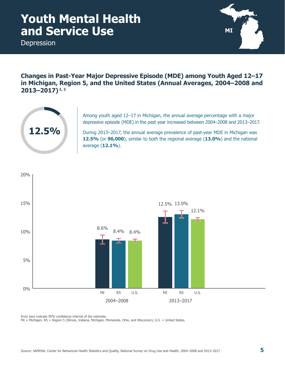### <span id="page-10-0"></span>**Youth Mental Health and Service Use**

Depression



**Changes in Past-Year Major Depressive Episode (MDE) among Youth Aged 12–17 in Michigan, Region 5, and the United States (Annual Averages, 2004–2008 and 2013–2017) 1, 2**



Among youth aged 12–17 in Michigan, the annual average percentage with a major depressive episode (MDE) in the past year increased between 2004–2008 and 2013–2017.

During 2013–2017, the annual average prevalence of past-year MDE in Michigan was **12.5%** (or **96,000**), similar to both the regional average (**13.0%**) and the national average (**12.1%**).



Error bars indicate 95% confidence interval of the estimate.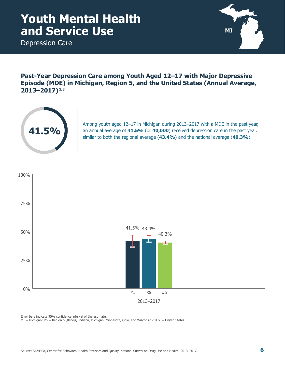### <span id="page-11-0"></span>**Youth Mental Health and Service Use**

Depression Care



**Past-Year Depression Care among Youth Aged 12–17 with Major Depressive Episode (MDE) in Michigan, Region 5, and the United States (Annual Average, 2013–2017) 1,3**



Among youth aged 12–17 in Michigan during 2013–2017 with a MDE in the past year, an annual average of **41.5%** (or **40,000**) received depression care in the past year, similar to both the regional average (**43.4%**) and the national average (**40.3%**).



Error bars indicate 95% confidence interval of the estimate.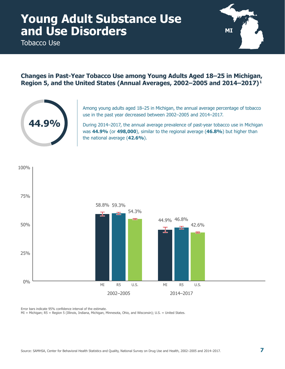<span id="page-12-0"></span>Tobacco Use



#### **Changes in Past-Year Tobacco Use among Young Adults Aged 18–25 in Michigan, Region 5, and the United States (Annual Averages, 2002–2005 and 2014–2017) 1**



Among young adults aged 18–25 in Michigan, the annual average percentage of tobacco use in the past year decreased between 2002–2005 and 2014–2017.

During 2014–2017, the annual average prevalence of past-year tobacco use in Michigan was **44.9%** (or **498,000**), similar to the regional average (**46.8%**) but higher than the national average (**42.6%**).



Error bars indicate 95% confidence interval of the estimate.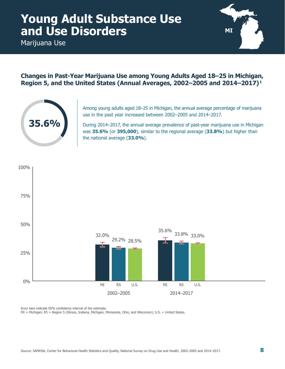<span id="page-13-0"></span>Marijuana Use



#### **Changes in Past-Year Marijuana Use among Young Adults Aged 18–25 in Michigan, Region 5, and the United States (Annual Averages, 2002–2005 and 2014–2017) 1**



Among young adults aged 18–25 in Michigan, the annual average percentage of marijuana use in the past year increased between 2002–2005 and 2014–2017.

During 2014–2017, the annual average prevalence of past-year marijuana use in Michigan was **35.6%** (or **395,000**), similar to the regional average (**33.8%**) but higher than the national average (**33.0%**).



Error bars indicate 95% confidence interval of the estimate. MI = Michigan; R5 = Region 5 (Illinois, Indiana, Michigan, Minnesota, Ohio, and Wisconsin); U.S. = United States.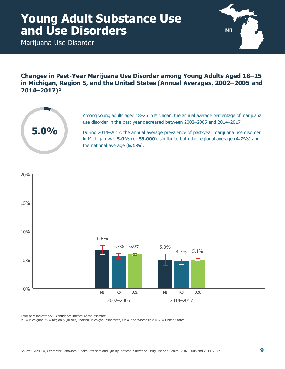<span id="page-14-0"></span>Marijuana Use Disorder



**Changes in Past-Year Marijuana Use Disorder among Young Adults Aged 18–25 in Michigan, Region 5, and the United States (Annual Averages, 2002–2005 and 2014–2017) 1**



Among young adults aged 18–25 in Michigan, the annual average percentage of marijuana use disorder in the past year decreased between 2002–2005 and 2014–2017.

During 2014–2017, the annual average prevalence of past-year marijuana use disorder in Michigan was **5.0%** (or **55,000**), similar to both the regional average (**4.7%**) and the national average (**5.1%**).



Error bars indicate 95% confidence interval of the estimate.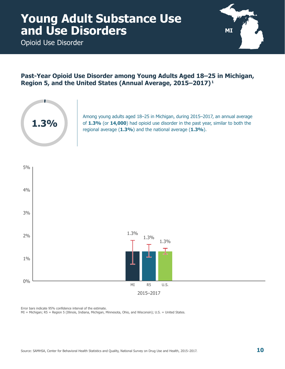<span id="page-15-0"></span>Opioid Use Disorder



### **Past-Year Opioid Use Disorder among Young Adults Aged 18–25 in Michigan, Region 5, and the United States (Annual Average, 2015–2017) 1**



Among young adults aged 18–25 in Michigan, during 2015–2017, an annual average of **1.3%** (or **14,000**) had opioid use disorder in the past year, similar to both the regional average (**1.3%**) and the national average (**1.3%**).



Error bars indicate 95% confidence interval of the estimate.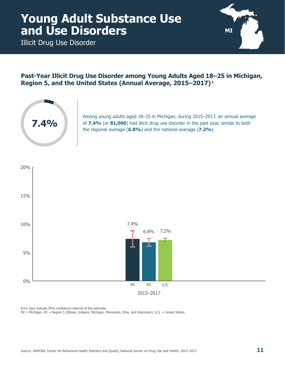<span id="page-16-0"></span>Illicit Drug Use Disorder



#### **Past-Year Illicit Drug Use Disorder among Young Adults Aged 18–25 in Michigan, Region 5, and the United States (Annual Average, 2015–2017) 1**



Among young adults aged 18–25 in Michigan, during 2015–2017, an annual average of **7.4%** (or **81,000**) had illicit drug use disorder in the past year, similar to both the regional average (**6.8%**) and the national average (**7.2%**).



Error bars indicate 95% confidence interval of the estimate.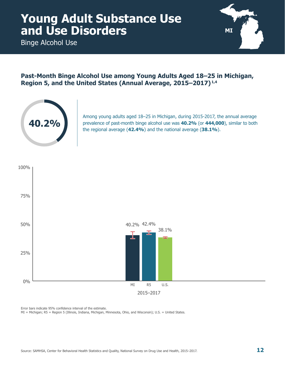<span id="page-17-0"></span>Binge Alcohol Use



#### **Past-Month Binge Alcohol Use among Young Adults Aged 18–25 in Michigan, Region 5, and the United States (Annual Average, 2015–2017) 1,4**



Among young adults aged 18–25 in Michigan, during 2015-2017, the annual average prevalence of past-month binge alcohol use was **40.2%** (or **444,000**), similar to both the regional average (**42.4%**) and the national average (**38.1%**).



Error bars indicate 95% confidence interval of the estimate.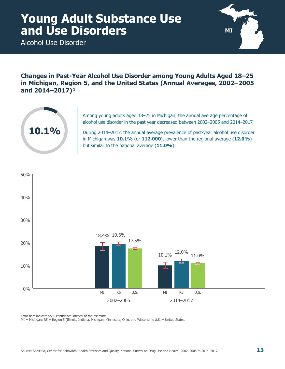<span id="page-18-0"></span>Alcohol Use Disorder



**Changes in Past-Year Alcohol Use Disorder among Young Adults Aged 18–25 in Michigan, Region 5, and the United States (Annual Averages, 2002–2005 and 2014–2017) 1**



Among young adults aged 18–25 in Michigan, the annual average percentage of alcohol use disorder in the past year decreased between 2002–2005 and 2014–2017.

During 2014–2017, the annual average prevalence of past-year alcohol use disorder in Michigan was **10.1%** (or **112,000**), lower than the regional average (**12.0%**) but similar to the national average (**11.0%**).



Error bars indicate 95% confidence interval of the estimate.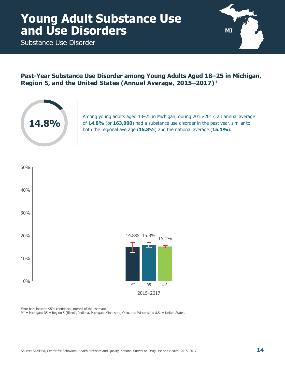<span id="page-19-0"></span>Substance Use Disorder



#### **Past-Year Substance Use Disorder among Young Adults Aged 18–25 in Michigan, Region 5, and the United States (Annual Average, 2015–2017) 1**



Among young adults aged 18–25 in Michigan, during 2015-2017, an annual average of **14.8%** (or **163,000**) had a substance use disorder in the past year, similar to both the regional average (**15.8%**) and the national average (**15.1%**).



Error bars indicate 95% confidence interval of the estimate.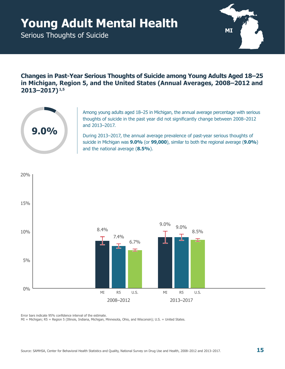# <span id="page-20-0"></span>**Young Adult Mental Health** MI

Serious Thoughts of Suicide



**Changes in Past-Year Serious Thoughts of Suicide among Young Adults Aged 18–25 in Michigan, Region 5, and the United States (Annual Averages, 2008–2012 and 2013–2017) 1,5**



Among young adults aged 18–25 in Michigan, the annual average percentage with serious thoughts of suicide in the past year did not significantly change between 2008–2012 and 2013–2017.

During 2013–2017, the annual average prevalence of past-year serious thoughts of suicide in Michigan was **9.0%** (or **99,000**), similar to both the regional average (**9.0%**) and the national average (**8.5%**).



Error bars indicate 95% confidence interval of the estimate.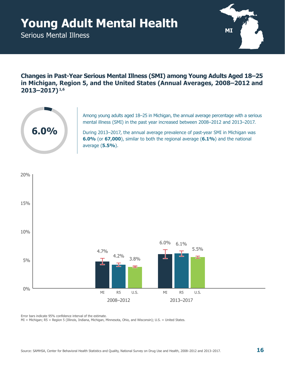# <span id="page-21-0"></span>**Young Adult Mental Health** MI

Serious Mental Illness



**Changes in Past-Year Serious Mental Illness (SMI) among Young Adults Aged 18–25 in Michigan, Region 5, and the United States (Annual Averages, 2008–2012 and 2013–2017) 1,6**



Among young adults aged 18–25 in Michigan, the annual average percentage with a serious mental illness (SMI) in the past year increased between 2008–2012 and 2013–2017.

During 2013–2017, the annual average prevalence of past-year SMI in Michigan was **6.0%** (or **67,000**), similar to both the regional average (**6.1%**) and the national average (**5.5%**).



Error bars indicate 95% confidence interval of the estimate.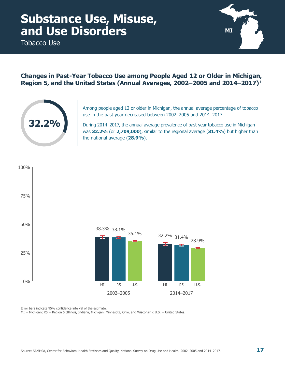<span id="page-22-0"></span>Tobacco Use



### **Changes in Past-Year Tobacco Use among People Aged 12 or Older in Michigan, Region 5, and the United States (Annual Averages, 2002–2005 and 2014–2017) 1**



Among people aged 12 or older in Michigan, the annual average percentage of tobacco use in the past year decreased between 2002–2005 and 2014–2017.

During 2014–2017, the annual average prevalence of past-year tobacco use in Michigan was **32.2%** (or **2,709,000**), similar to the regional average (**31.4%**) but higher than the national average (**28.9%**).



Error bars indicate 95% confidence interval of the estimate.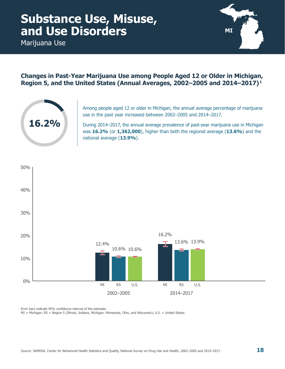<span id="page-23-0"></span>Marijuana Use



### **Changes in Past-Year Marijuana Use among People Aged 12 or Older in Michigan, Region 5, and the United States (Annual Averages, 2002–2005 and 2014–2017) 1**



Among people aged 12 or older in Michigan, the annual average percentage of marijuana use in the past year increased between 2002–2005 and 2014–2017.

During 2014–2017, the annual average prevalence of past-year marijuana use in Michigan was **16.2%** (or **1,362,000**), higher than both the regional average (**13.6%**) and the national average (**13.9%**).



Error bars indicate 95% confidence interval of the estimate.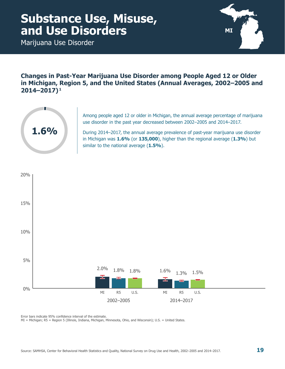<span id="page-24-0"></span>Marijuana Use Disorder



**Changes in Past-Year Marijuana Use Disorder among People Aged 12 or Older in Michigan, Region 5, and the United States (Annual Averages, 2002–2005 and 2014–2017) 1**



Among people aged 12 or older in Michigan, the annual average percentage of marijuana use disorder in the past year decreased between 2002–2005 and 2014–2017.

During 2014–2017, the annual average prevalence of past-year marijuana use disorder in Michigan was **1.6%** (or **135,000**), higher than the regional average (**1.3%**) but similar to the national average (**1.5%**).



Error bars indicate 95% confidence interval of the estimate.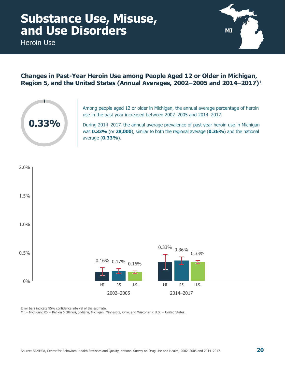<span id="page-25-0"></span>Heroin Use



### **Changes in Past-Year Heroin Use among People Aged 12 or Older in Michigan, Region 5, and the United States (Annual Averages, 2002–2005 and 2014–2017) 1**



Among people aged 12 or older in Michigan, the annual average percentage of heroin use in the past year increased between 2002–2005 and 2014–2017.

During 2014–2017, the annual average prevalence of past-year heroin use in Michigan was **0.33%** (or **28,000**), similar to both the regional average (**0.36%**) and the national average (**0.33%**).



Error bars indicate 95% confidence interval of the estimate.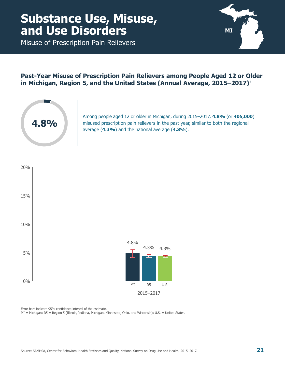<span id="page-26-0"></span>Misuse of Prescription Pain Relievers



### **Past-Year Misuse of Prescription Pain Relievers among People Aged 12 or Older in Michigan, Region 5, and the United States (Annual Average, 2015–2017) 1**



Among people aged 12 or older in Michigan, during 2015–2017, **4.8%** (or **405,000**) misused prescription pain relievers in the past year, similar to both the regional average (**4.3%**) and the national average (**4.3%**).



Error bars indicate 95% confidence interval of the estimate.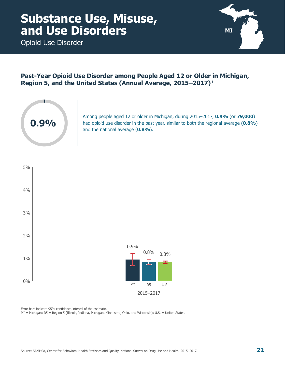<span id="page-27-0"></span>Opioid Use Disorder



### **Past-Year Opioid Use Disorder among People Aged 12 or Older in Michigan, Region 5, and the United States (Annual Average, 2015–2017) 1**



Among people aged 12 or older in Michigan, during 2015–2017, **0.9%** (or **79,000**) had opioid use disorder in the past year, similar to both the regional average (**0.8%**) and the national average (**0.8%**).



Error bars indicate 95% confidence interval of the estimate.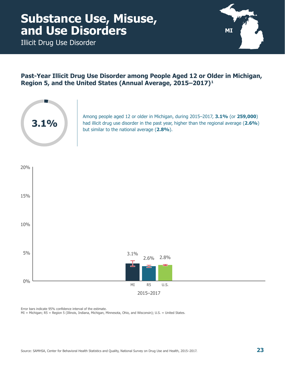<span id="page-28-0"></span>Illicit Drug Use Disorder



### **Past-Year Illicit Drug Use Disorder among People Aged 12 or Older in Michigan, Region 5, and the United States (Annual Average, 2015–2017) 1**



Among people aged 12 or older in Michigan, during 2015–2017, **3.1%** (or **259,000**) had illicit drug use disorder in the past year, higher than the regional average (**2.6%**) but similar to the national average (**2.8%**).



Error bars indicate 95% confidence interval of the estimate.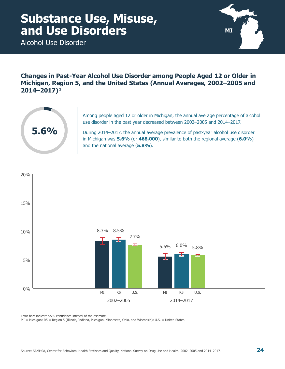<span id="page-29-0"></span>Alcohol Use Disorder



**Changes in Past-Year Alcohol Use Disorder among People Aged 12 or Older in Michigan, Region 5, and the United States (Annual Averages, 2002–2005 and 2014–2017) 1**



Among people aged 12 or older in Michigan, the annual average percentage of alcohol use disorder in the past year decreased between 2002–2005 and 2014–2017.

During 2014–2017, the annual average prevalence of past-year alcohol use disorder in Michigan was **5.6%** (or **468,000**), similar to both the regional average (**6.0%**) and the national average (**5.8%**).



Error bars indicate 95% confidence interval of the estimate.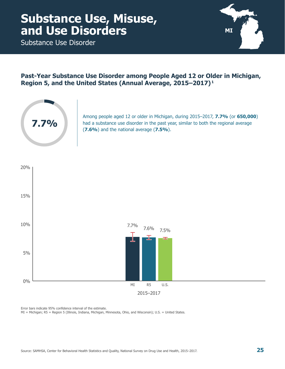<span id="page-30-0"></span>Substance Use Disorder



### **Past-Year Substance Use Disorder among People Aged 12 or Older in Michigan, Region 5, and the United States (Annual Average, 2015–2017) 1**



Among people aged 12 or older in Michigan, during 2015–2017, **7.7%** (or **650,000**) had a substance use disorder in the past year, similar to both the regional average (**7.6%**) and the national average (**7.5%**).



Error bars indicate 95% confidence interval of the estimate.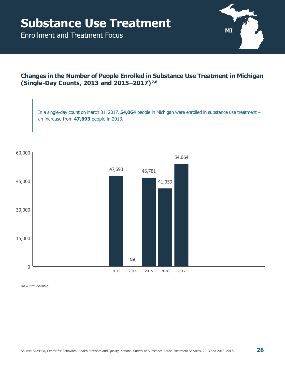<span id="page-31-0"></span>Enrollment and Treatment Focus



#### **Changes in the Number of People Enrolled in Substance Use Treatment in Michigan (Single-Day Counts, 2013 and 2015–2017) 7,8**

In a single-day count on March 31, 2017, **54,064** people in Michigan were enrolled in substance use treatment – an increase from **47,693** people in 2013.



NA = Not Available.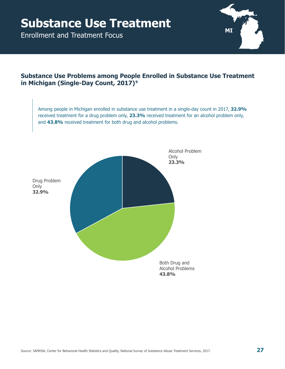Enrollment and Treatment Focus



### **Substance Use Problems among People Enrolled in Substance Use Treatment in Michigan (Single-Day Count, 2017) 9**

Among people in Michigan enrolled in substance use treatment in a single-day count in 2017, **32.9%** received treatment for a drug problem only, **23.3%** received treatment for an alcohol problem only, and **43.8%** received treatment for both drug and alcohol problems.

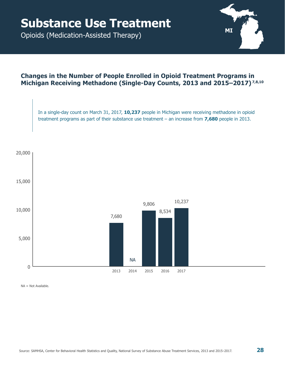<span id="page-33-0"></span>Opioids (Medication-Assisted Therapy)



#### **Changes in the Number of People Enrolled in Opioid Treatment Programs in Michigan Receiving Methadone (Single-Day Counts, 2013 and 2015–2017) 7,8,10**

In a single-day count on March 31, 2017, **10,237** people in Michigan were receiving methadone in opioid treatment programs as part of their substance use treatment – an increase from **7,680** people in 2013.



NA = Not Available.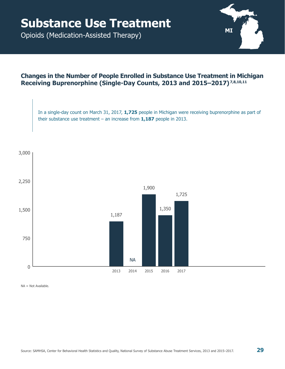Opioids (Medication-Assisted Therapy)



#### **Changes in the Number of People Enrolled in Substance Use Treatment in Michigan Receiving Buprenorphine (Single-Day Counts, 2013 and 2015–2017) 7,8,10,11**

In a single-day count on March 31, 2017, **1,725** people in Michigan were receiving buprenorphine as part of their substance use treatment – an increase from **1,187** people in 2013.



NA = Not Available.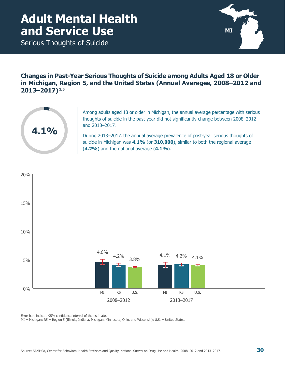### <span id="page-35-0"></span>**Adult Mental Health and Service Use**

Serious Thoughts of Suicide



**Changes in Past-Year Serious Thoughts of Suicide among Adults Aged 18 or Older in Michigan, Region 5, and the United States (Annual Averages, 2008–2012 and 2013–2017) 1,5**



Among adults aged 18 or older in Michigan, the annual average percentage with serious thoughts of suicide in the past year did not significantly change between 2008–2012 and 2013–2017.

During 2013–2017, the annual average prevalence of past-year serious thoughts of suicide in Michigan was **4.1%** (or **310,000**), similar to both the regional average (**4.2%**) and the national average (**4.1%**).



Error bars indicate 95% confidence interval of the estimate.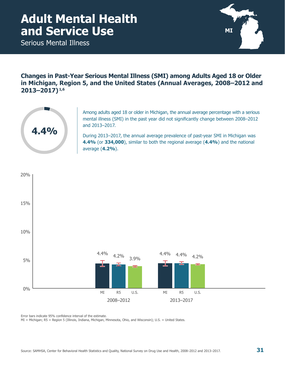### <span id="page-36-0"></span>**Adult Mental Health and Service Use**

Serious Mental Illness



**Changes in Past-Year Serious Mental Illness (SMI) among Adults Aged 18 or Older in Michigan, Region 5, and the United States (Annual Averages, 2008–2012 and 2013–2017) 1,6**



Among adults aged 18 or older in Michigan, the annual average percentage with a serious mental illness (SMI) in the past year did not significantly change between 2008–2012 and 2013–2017.

During 2013–2017, the annual average prevalence of past-year SMI in Michigan was **4.4%** (or **334,000**), similar to both the regional average (**4.4%**) and the national average (**4.2%**).



Error bars indicate 95% confidence interval of the estimate.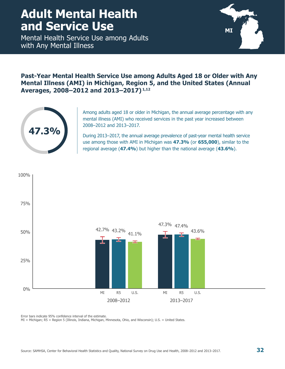### <span id="page-37-0"></span>**Adult Mental Health and Service Use**

Mental Health Service Use among Adults with Any Mental Illness



#### **Past-Year Mental Health Service Use among Adults Aged 18 or Older with Any Mental Illness (AMI) in Michigan, Region 5, and the United States (Annual Averages, 2008–2012 and 2013–2017) 1,12**



Among adults aged 18 or older in Michigan, the annual average percentage with any mental illness (AMI) who received services in the past year increased between 2008–2012 and 2013–2017.

During 2013–2017, the annual average prevalence of past-year mental health service use among those with AMI in Michigan was **47.3%** (or **655,000**), similar to the regional average (**47.4%**) but higher than the national average (**43.6%**).



Error bars indicate 95% confidence interval of the estimate.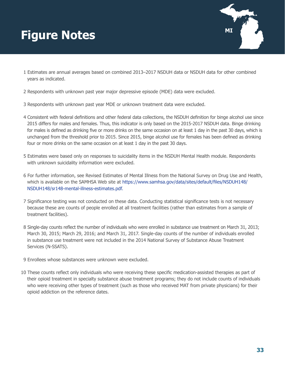# <span id="page-38-0"></span>**MI Figure Notes**



- 1 Estimates are annual averages based on combined 2013–2017 NSDUH data or NSDUH data for other combined years as indicated.
- 2 Respondents with unknown past year major depressive episode (MDE) data were excluded.
- 3 Respondents with unknown past year MDE or unknown treatment data were excluded.
- 4 Consistent with federal definitions and other federal data collections, the NSDUH definition for binge alcohol use since 2015 differs for males and females. Thus, this indicator is only based on the 2015-2017 NSDUH data. Binge drinking for males is defined as drinking five or more drinks on the same occasion on at least 1 day in the past 30 days, which is unchanged from the threshold prior to 2015. Since 2015, binge alcohol use for females has been defined as drinking four or more drinks on the same occasion on at least 1 day in the past 30 days.
- 5 Estimates were based only on responses to suicidality items in the NSDUH Mental Health module. Respondents with unknown suicidality information were excluded.
- 6 For further information, see Revised Estimates of Mental Illness from the National Survey on Drug Use and Health, which is available on the SAMHSA Web site at [https://www.samhsa.gov/data/sites/default/files/NSDUH148/](https://www.samhsa.gov/data/sites/default/files/NSDUH148/NSDUH148/sr148-mental-illness-estimates.pdf) [NSDUH148/sr148-mental-illness-estimates.pdf](https://www.samhsa.gov/data/sites/default/files/NSDUH148/NSDUH148/sr148-mental-illness-estimates.pdf).
- 7 Significance testing was not conducted on these data. Conducting statistical significance tests is not necessary because these are counts of people enrolled at all treatment facilities (rather than estimates from a sample of treatment facilities).
- 8 Single-day counts reflect the number of individuals who were enrolled in substance use treatment on March 31, 2013; March 30, 2015; March 29, 2016; and March 31, 2017. Single-day counts of the number of individuals enrolled in substance use treatment were not included in the 2014 National Survey of Substance Abuse Treatment Services (N-SSATS).
- 9 Enrollees whose substances were unknown were excluded.
- 10 These counts reflect only individuals who were receiving these specific medication-assisted therapies as part of their opioid treatment in specialty substance abuse treatment programs; they do not include counts of individuals who were receiving other types of treatment (such as those who received MAT from private physicians) for their opioid addiction on the reference dates.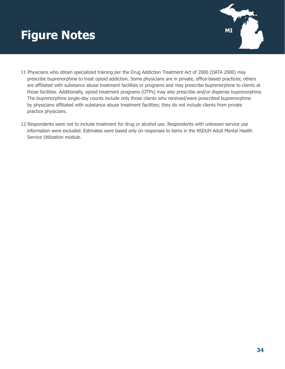# **Figure Notes MILES MILES**



- 11 Physicians who obtain specialized training per the Drug Addiction Treatment Act of 2000 (DATA 2000) may prescribe buprenorphine to treat opioid addiction. Some physicians are in private, office-based practices; others are affiliated with substance abuse treatment facilities or programs and may prescribe buprenorphine to clients at those facilities. Additionally, opioid treatment programs (OTPs) may also prescribe and/or dispense buprenorphine. The buprenorphine single-day counts include only those clients who received/were prescribed buprenorphine by physicians affiliated with substance abuse treatment facilities; they do not include clients from private practice physicians.
- 12 Respondents were not to include treatment for drug or alcohol use. Respondents with unknown service use information were excluded. Estimates were based only on responses to items in the NSDUH Adult Mental Health Service Utilization module.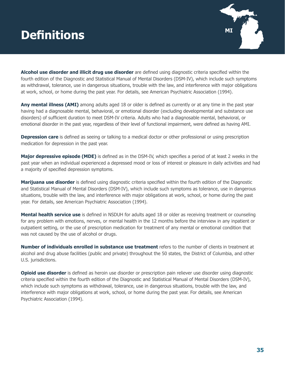# <span id="page-40-0"></span>**MI Definitions**



**Alcohol use disorder and illicit drug use disorder** are defined using diagnostic criteria specified within the fourth edition of the Diagnostic and Statistical Manual of Mental Disorders (DSM-IV), which include such symptoms as withdrawal, tolerance, use in dangerous situations, trouble with the law, and interference with major obligations at work, school, or home during the past year. For details, see American Psychiatric Association (1994).

**Any mental illness (AMI)** among adults aged 18 or older is defined as currently or at any time in the past year having had a diagnosable mental, behavioral, or emotional disorder (excluding developmental and substance use disorders) of sufficient duration to meet DSM-IV criteria. Adults who had a diagnosable mental, behavioral, or emotional disorder in the past year, regardless of their level of functional impairment, were defined as having AMI.

**Depression care** is defined as seeing or talking to a medical doctor or other professional or using prescription medication for depression in the past year.

**Major depressive episode (MDE)** is defined as in the DSM-IV, which specifies a period of at least 2 weeks in the past year when an individual experienced a depressed mood or loss of interest or pleasure in daily activities and had a majority of specified depression symptoms.

**Marijuana use disorder** is defined using diagnostic criteria specified within the fourth edition of the Diagnostic and Statistical Manual of Mental Disorders (DSM-IV), which include such symptoms as tolerance, use in dangerous situations, trouble with the law, and interference with major obligations at work, school, or home during the past year. For details, see American Psychiatric Association (1994).

**Mental health service use** is defined in NSDUH for adults aged 18 or older as receiving treatment or counseling for any problem with emotions, nerves, or mental health in the 12 months before the interview in any inpatient or outpatient setting, or the use of prescription medication for treatment of any mental or emotional condition that was not caused by the use of alcohol or drugs.

**Number of individuals enrolled in substance use treatment** refers to the number of clients in treatment at alcohol and drug abuse facilities (public and private) throughout the 50 states, the District of Columbia, and other U.S. jurisdictions.

**Opioid use disorder** is defined as heroin use disorder or prescription pain reliever use disorder using diagnostic criteria specified within the fourth edition of the Diagnostic and Statistical Manual of Mental Disorders (DSM-IV), which include such symptoms as withdrawal, tolerance, use in dangerous situations, trouble with the law, and interference with major obligations at work, school, or home during the past year. For details, see American Psychiatric Association (1994).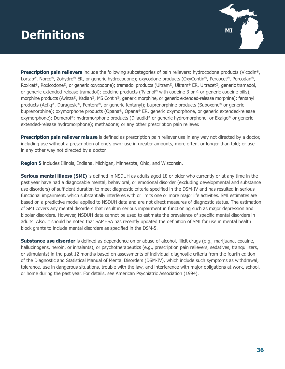# **MI Definitions**



**Prescription pain relievers** include the following subcategories of pain relievers: hydrocodone products (Vicodin®, Lortab®, Norco®, Zohydro® ER, or generic hydrocodone); oxycodone products (OxyContin®, Percocet®, Percodan®, Roxicet®, Roxicodone®, or generic oxycodone); tramadol products (Ultram®, Ultram® ER, Ultracet®, generic tramadol, or generic extended-release tramadol); codeine products (Tylenol® with codeine 3 or 4 or generic codeine pills); morphine products (Avinza®, Kadian®, MS Contin®, generic morphine, or generic extended-release morphine); fentanyl products (Actiq®, Duragesic®, Fentora®, or generic fentanyl); buprenorphine products (Suboxone® or generic buprenorphine); oxymorphone products (Opana®, Opana® ER, generic oxymorphone, or generic extended-release oxymorphone); Demerol®; hydromorphone products (Dilaudid® or generic hydromorphone, or Exalgo® or generic extended-release hydromorphone); methadone; or any other prescription pain reliever.

**Prescription pain reliever misuse** is defined as prescription pain reliever use in any way not directed by a doctor, including use without a prescription of one's own; use in greater amounts, more often, or longer than told; or use in any other way not directed by a doctor.

**Region 5** includes Illinois, Indiana, Michigan, Minnesota, Ohio, and Wisconsin.

**Serious mental illness (SMI)** is defined in NSDUH as adults aged 18 or older who currently or at any time in the past year have had a diagnosable mental, behavioral, or emotional disorder (excluding developmental and substance use disorders) of sufficient duration to meet diagnostic criteria specified in the DSM-IV and has resulted in serious functional impairment, which substantially interferes with or limits one or more major life activities. SMI estimates are based on a predictive model applied to NSDUH data and are not direct measures of diagnostic status. The estimation of SMI covers any mental disorders that result in serious impairment in functioning such as major depression and bipolar disorders. However, NSDUH data cannot be used to estimate the prevalence of specific mental disorders in adults. Also, it should be noted that SAMHSA has recently updated the definition of SMI for use in mental health block grants to include mental disorders as specified in the DSM-5.

**Substance use disorder** is defined as dependence on or abuse of alcohol, illicit drugs (e.g., marijuana, cocaine, hallucinogens, heroin, or inhalants), or psychotherapeutics (e.g., prescription pain relievers, sedatives, tranquilizers, or stimulants) in the past 12 months based on assessments of individual diagnostic criteria from the fourth edition of the Diagnostic and Statistical Manual of Mental Disorders (DSM-IV), which include such symptoms as withdrawal, tolerance, use in dangerous situations, trouble with the law, and interference with major obligations at work, school, or home during the past year. For details, see American Psychiatric Association (1994).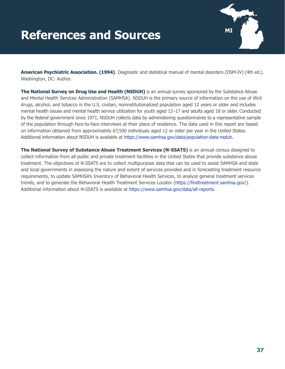# <span id="page-42-0"></span>**MI References and Sources**



**American Psychiatric Association. (1994)**. Diagnostic and statistical manual of mental disorders (DSM-IV) (4th ed.). Washington, DC: Author.

**The National Survey on Drug Use and Health (NSDUH)** is an annual survey sponsored by the Substance Abuse and Mental Health Services Administration (SAMHSA). NSDUH is the primary source of information on the use of illicit drugs, alcohol, and tobacco in the U.S. civilian, noninstitutionalized population aged 12 years or older and includes mental health issues and mental health service utilization for youth aged 12–17 and adults aged 18 or older. Conducted by the federal government since 1971, NSDUH collects data by administering questionnaires to a representative sample of the population through face-to-face interviews at their place of residence. The data used in this report are based on information obtained from approximately 67,500 individuals aged 12 or older per year in the United States. Additional information about NSDUH is available at [https://www.samhsa.gov/data/population-data-nsduh.](https://www.samhsa.gov/data/population-data-nsduh)

**The National Survey of Substance Abuse Treatment Services (N-SSATS)** is an annual census designed to collect information from all public and private treatment facilities in the United States that provide substance abuse treatment. The objectives of N-SSATS are to collect multipurpose data that can be used to assist SAMHSA and state and local governments in assessing the nature and extent of services provided and in forecasting treatment resource requirements, to update SAMHSA's Inventory of Behavioral Health Services, to analyze general treatment services trends, and to generate the Behavioral Health Treatment Services Locator (<https://findtreatment.samhsa.gov/>). Additional information about N-SSATS is available at [https://www.samhsa.gov/data/all-reports.](https://www.samhsa.gov/data/all-reports)